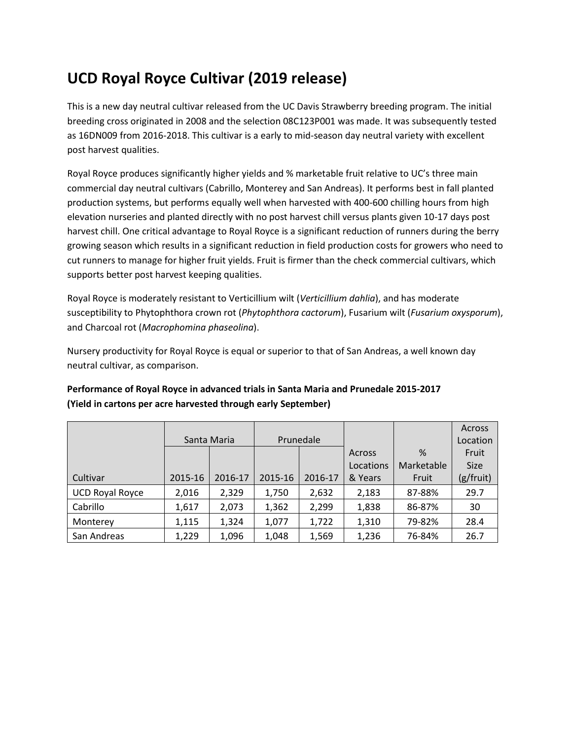# **UCD Royal Royce Cultivar (2019 release)**

This is a new day neutral cultivar released from the UC Davis Strawberry breeding program. The initial breeding cross originated in 2008 and the selection 08C123P001 was made. It was subsequently tested as 16DN009 from 2016-2018. This cultivar is a early to mid-season day neutral variety with excellent post harvest qualities.

Royal Royce produces significantly higher yields and % marketable fruit relative to UC's three main commercial day neutral cultivars (Cabrillo, Monterey and San Andreas). It performs best in fall planted production systems, but performs equally well when harvested with 400-600 chilling hours from high elevation nurseries and planted directly with no post harvest chill versus plants given 10-17 days post harvest chill. One critical advantage to Royal Royce is a significant reduction of runners during the berry growing season which results in a significant reduction in field production costs for growers who need to cut runners to manage for higher fruit yields. Fruit is firmer than the check commercial cultivars, which supports better post harvest keeping qualities.

Royal Royce is moderately resistant to Verticillium wilt (*Verticillium dahlia*), and has moderate susceptibility to Phytophthora crown rot (*Phytophthora cactorum*), Fusarium wilt (*Fusarium oxysporum*), and Charcoal rot (*Macrophomina phaseolina*).

Nursery productivity for Royal Royce is equal or superior to that of San Andreas, a well known day neutral cultivar, as comparison.

|                        |             |         |           |         |           |               | <b>Across</b> |
|------------------------|-------------|---------|-----------|---------|-----------|---------------|---------------|
|                        | Santa Maria |         | Prunedale |         |           |               | Location      |
|                        |             |         |           |         | Across    | $\frac{9}{6}$ | Fruit         |
|                        |             |         |           |         | Locations | Marketable    | <b>Size</b>   |
| Cultivar               | 2015-16     | 2016-17 | 2015-16   | 2016-17 | & Years   | Fruit         | (g/fruit)     |
| <b>UCD Royal Royce</b> | 2,016       | 2,329   | 1,750     | 2,632   | 2,183     | 87-88%        | 29.7          |
| Cabrillo               | 1,617       | 2,073   | 1,362     | 2,299   | 1,838     | 86-87%        | 30            |
| Monterey               | 1,115       | 1,324   | 1,077     | 1,722   | 1,310     | 79-82%        | 28.4          |
| San Andreas            | 1,229       | 1,096   | 1,048     | 1,569   | 1,236     | 76-84%        | 26.7          |

## **Performance of Royal Royce in advanced trials in Santa Maria and Prunedale 2015-2017 (Yield in cartons per acre harvested through early September)**